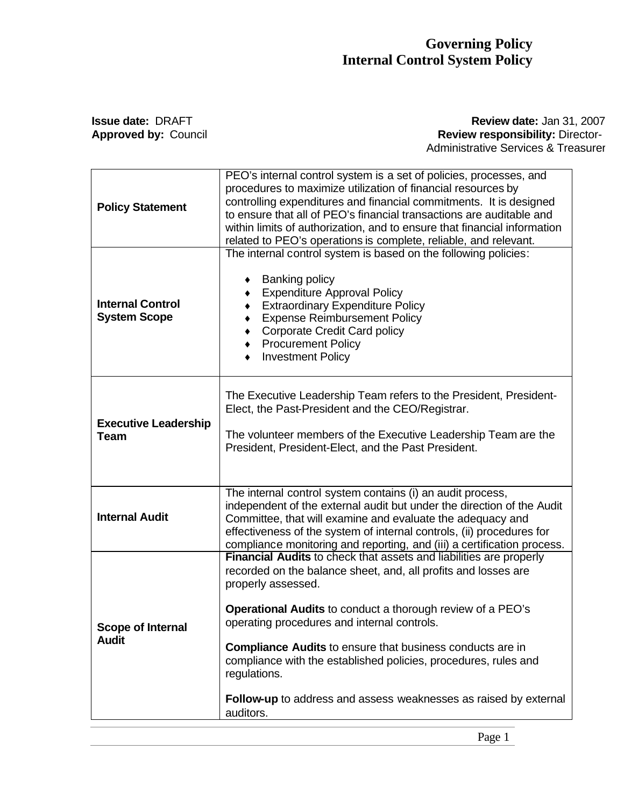## **Governing Policy Internal Control System Policy**

## **Issue date: DRAFT Review date: Jan 31, 2007 Approved by:** Council **Review responsibility:** Director- Administrative Services & Treasurer

| <b>Policy Statement</b>                        | PEO's internal control system is a set of policies, processes, and<br>procedures to maximize utilization of financial resources by<br>controlling expenditures and financial commitments. It is designed<br>to ensure that all of PEO's financial transactions are auditable and<br>within limits of authorization, and to ensure that financial information<br>related to PEO's operations is complete, reliable, and relevant.                                                                                              |
|------------------------------------------------|-------------------------------------------------------------------------------------------------------------------------------------------------------------------------------------------------------------------------------------------------------------------------------------------------------------------------------------------------------------------------------------------------------------------------------------------------------------------------------------------------------------------------------|
| <b>Internal Control</b><br><b>System Scope</b> | The internal control system is based on the following policies:<br><b>Banking policy</b><br>٠<br><b>Expenditure Approval Policy</b><br>$\bullet$<br><b>Extraordinary Expenditure Policy</b><br>$\bullet$<br><b>Expense Reimbursement Policy</b><br>$\bullet$<br><b>Corporate Credit Card policy</b><br>$\bullet$<br><b>Procurement Policy</b><br>$\bullet$<br><b>Investment Policy</b>                                                                                                                                        |
| <b>Executive Leadership</b><br><b>Team</b>     | The Executive Leadership Team refers to the President, President-<br>Elect, the Past-President and the CEO/Registrar.<br>The volunteer members of the Executive Leadership Team are the<br>President, President-Elect, and the Past President.                                                                                                                                                                                                                                                                                |
| <b>Internal Audit</b>                          | The internal control system contains (i) an audit process,<br>independent of the external audit but under the direction of the Audit<br>Committee, that will examine and evaluate the adequacy and<br>effectiveness of the system of internal controls, (ii) procedures for<br>compliance monitoring and reporting, and (iii) a certification process.                                                                                                                                                                        |
| <b>Scope of Internal</b><br><b>Audit</b>       | <b>Financial Audits</b> to check that assets and liabilities are properly<br>recorded on the balance sheet, and, all profits and losses are<br>properly assessed.<br><b>Operational Audits to conduct a thorough review of a PEO's</b><br>operating procedures and internal controls.<br><b>Compliance Audits to ensure that business conducts are in</b><br>compliance with the established policies, procedures, rules and<br>regulations.<br>Follow-up to address and assess weaknesses as raised by external<br>auditors. |